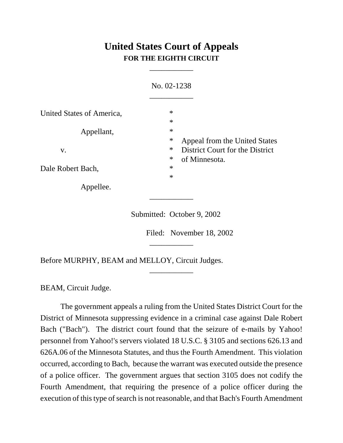## **United States Court of Appeals FOR THE EIGHTH CIRCUIT**

\_\_\_\_\_\_\_\_\_\_\_

|                           | No. 02-1238                                                                          |  |
|---------------------------|--------------------------------------------------------------------------------------|--|
| United States of America, | $\ast$<br>$\ast$                                                                     |  |
| Appellant,<br>V.          | $\ast$                                                                               |  |
|                           | $\ast$<br>Appeal from the United States<br>$\ast$<br>District Court for the District |  |
| Dale Robert Bach,         | $\ast$<br>of Minnesota.<br>$\ast$<br>$\ast$                                          |  |
| Appellee.                 |                                                                                      |  |

Submitted: October 9, 2002

\_\_\_\_\_\_\_\_\_\_\_

\_\_\_\_\_\_\_\_\_\_\_

\_\_\_\_\_\_\_\_\_\_\_

Filed: November 18, 2002

Before MURPHY, BEAM and MELLOY, Circuit Judges.

BEAM, Circuit Judge.

The government appeals a ruling from the United States District Court for the District of Minnesota suppressing evidence in a criminal case against Dale Robert Bach ("Bach"). The district court found that the seizure of e-mails by Yahoo! personnel from Yahoo!'s servers violated 18 U.S.C. § 3105 and sections 626.13 and 626A.06 of the Minnesota Statutes, and thus the Fourth Amendment. This violation occurred, according to Bach, because the warrant was executed outside the presence of a police officer. The government argues that section 3105 does not codify the Fourth Amendment, that requiring the presence of a police officer during the execution of this type of search is not reasonable, and that Bach's Fourth Amendment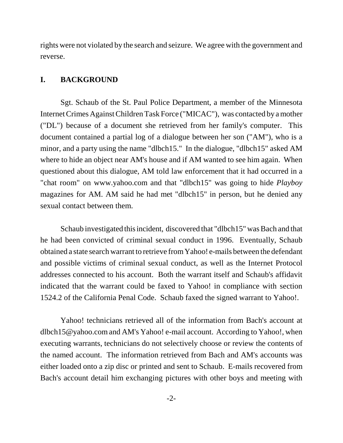rights were not violated by the search and seizure. We agree with the government and reverse.

## **I. BACKGROUND**

Sgt. Schaub of the St. Paul Police Department, a member of the Minnesota Internet Crimes Against Children Task Force ("MICAC"), was contacted by a mother ("DL") because of a document she retrieved from her family's computer. This document contained a partial log of a dialogue between her son ("AM"), who is a minor, and a party using the name "dlbch15." In the dialogue, "dlbch15" asked AM where to hide an object near AM's house and if AM wanted to see him again. When questioned about this dialogue, AM told law enforcement that it had occurred in a "chat room" on www.yahoo.com and that "dlbch15" was going to hide *Playboy* magazines for AM. AM said he had met "dlbch15" in person, but he denied any sexual contact between them.

Schaub investigated this incident, discovered that "dlbch15" was Bach and that he had been convicted of criminal sexual conduct in 1996. Eventually, Schaub obtained a state search warrant to retrieve from Yahoo! e-mails between the defendant and possible victims of criminal sexual conduct, as well as the Internet Protocol addresses connected to his account. Both the warrant itself and Schaub's affidavit indicated that the warrant could be faxed to Yahoo! in compliance with section 1524.2 of the California Penal Code. Schaub faxed the signed warrant to Yahoo!.

Yahoo! technicians retrieved all of the information from Bach's account at dlbch15@yahoo.com and AM's Yahoo! e-mail account. According to Yahoo!, when executing warrants, technicians do not selectively choose or review the contents of the named account. The information retrieved from Bach and AM's accounts was either loaded onto a zip disc or printed and sent to Schaub. E-mails recovered from Bach's account detail him exchanging pictures with other boys and meeting with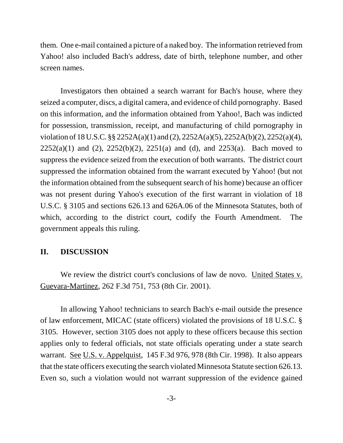them. One e-mail contained a picture of a naked boy. The information retrieved from Yahoo! also included Bach's address, date of birth, telephone number, and other screen names.

Investigators then obtained a search warrant for Bach's house, where they seized a computer, discs, a digital camera, and evidence of child pornography. Based on this information, and the information obtained from Yahoo!, Bach was indicted for possession, transmission, receipt, and manufacturing of child pornography in violation of 18 U.S.C. §§ 2252A(a)(1) and (2), 2252A(a)(5), 2252A(b)(2), 2252(a)(4),  $2252(a)(1)$  and (2),  $2252(b)(2)$ ,  $2251(a)$  and (d), and  $2253(a)$ . Bach moved to suppress the evidence seized from the execution of both warrants. The district court suppressed the information obtained from the warrant executed by Yahoo! (but not the information obtained from the subsequent search of his home) because an officer was not present during Yahoo's execution of the first warrant in violation of 18 U.S.C. § 3105 and sections 626.13 and 626A.06 of the Minnesota Statutes, both of which, according to the district court, codify the Fourth Amendment. The government appeals this ruling.

## **II. DISCUSSION**

We review the district court's conclusions of law de novo. United States v. Guevara-Martinez, 262 F.3d 751, 753 (8th Cir. 2001).

In allowing Yahoo! technicians to search Bach's e-mail outside the presence of law enforcement, MICAC (state officers) violated the provisions of 18 U.S.C. § 3105. However, section 3105 does not apply to these officers because this section applies only to federal officials, not state officials operating under a state search warrant. <u>See U.S. v. Appelquist</u>, 145 F.3d 976, 978 (8th Cir. 1998). It also appears that the state officers executing the search violated Minnesota Statute section 626.13. Even so, such a violation would not warrant suppression of the evidence gained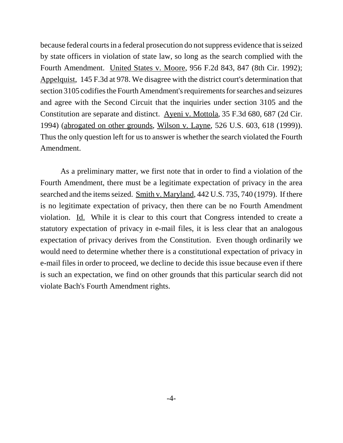because federal courts in a federal prosecution do not suppress evidence that is seized by state officers in violation of state law, so long as the search complied with the Fourth Amendment. United States v. Moore, 956 F.2d 843, 847 (8th Cir. 1992); Appelquist, 145 F.3d at 978. We disagree with the district court's determination that section 3105 codifies the Fourth Amendment's requirements for searches and seizures and agree with the Second Circuit that the inquiries under section 3105 and the Constitution are separate and distinct. Ayeni v. Mottola, 35 F.3d 680, 687 (2d Cir. 1994) (abrogated on other grounds, Wilson v. Layne, 526 U.S. 603, 618 (1999)). Thus the only question left for us to answer is whether the search violated the Fourth Amendment.

As a preliminary matter, we first note that in order to find a violation of the Fourth Amendment, there must be a legitimate expectation of privacy in the area searched and the items seized. Smith v. Maryland, 442 U.S. 735, 740 (1979). If there is no legitimate expectation of privacy, then there can be no Fourth Amendment violation. Id. While it is clear to this court that Congress intended to create a statutory expectation of privacy in e-mail files, it is less clear that an analogous expectation of privacy derives from the Constitution. Even though ordinarily we would need to determine whether there is a constitutional expectation of privacy in e-mail files in order to proceed, we decline to decide this issue because even if there is such an expectation, we find on other grounds that this particular search did not violate Bach's Fourth Amendment rights.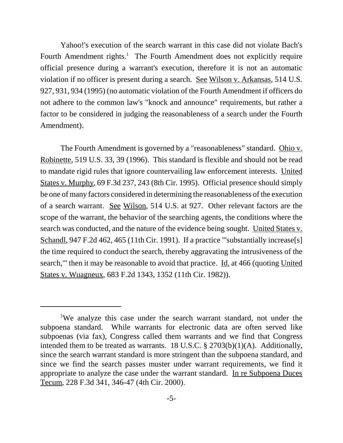Yahoo!'s execution of the search warrant in this case did not violate Bach's Fourth Amendment rights.<sup>1</sup> The Fourth Amendment does not explicitly require official presence during a warrant's execution, therefore it is not an automatic violation if no officer is present during a search. See Wilson v. Arkansas, 514 U.S. 927, 931, 934 (1995) (no automatic violation of the Fourth Amendment if officers do not adhere to the common law's "knock and announce" requirements, but rather a factor to be considered in judging the reasonableness of a search under the Fourth Amendment).

The Fourth Amendment is governed by a "reasonableness" standard. Ohio v. Robinette, 519 U.S. 33, 39 (1996). This standard is flexible and should not be read to mandate rigid rules that ignore countervailing law enforcement interests. United States v. Murphy, 69 F.3d 237, 243 (8th Cir. 1995). Official presence should simply be one of many factors considered in determining the reasonableness of the execution of a search warrant. See Wilson, 514 U.S. at 927. Other relevant factors are the scope of the warrant, the behavior of the searching agents, the conditions where the search was conducted, and the nature of the evidence being sought. United States v. Schandl, 947 F.2d 462, 465 (11th Cir. 1991). If a practice "'substantially increase[s] the time required to conduct the search, thereby aggravating the intrusiveness of the search," then it may be reasonable to avoid that practice. Id. at 466 (quoting United States v. Wuagneux, 683 F.2d 1343, 1352 (11th Cir. 1982)).

<sup>&</sup>lt;sup>1</sup>We analyze this case under the search warrant standard, not under the subpoena standard. While warrants for electronic data are often served like subpoenas (via fax), Congress called them warrants and we find that Congress intended them to be treated as warrants. 18 U.S.C. § 2703(b)(1)(A). Additionally, since the search warrant standard is more stringent than the subpoena standard, and since we find the search passes muster under warrant requirements, we find it appropriate to analyze the case under the warrant standard. In re Subpoena Duces Tecum, 228 F.3d 341, 346-47 (4th Cir. 2000).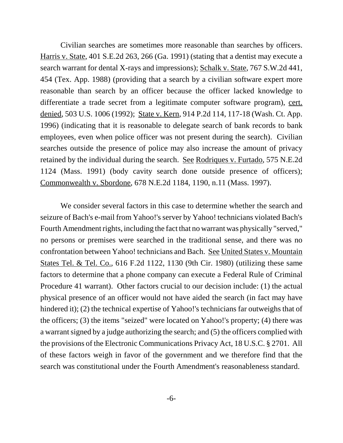Civilian searches are sometimes more reasonable than searches by officers. Harris v. State, 401 S.E.2d 263, 266 (Ga. 1991) (stating that a dentist may execute a search warrant for dental X-rays and impressions); Schalk v. State, 767 S.W.2d 441, 454 (Tex. App. 1988) (providing that a search by a civilian software expert more reasonable than search by an officer because the officer lacked knowledge to differentiate a trade secret from a legitimate computer software program), cert. denied, 503 U.S. 1006 (1992); State v. Kern, 914 P.2d 114, 117-18 (Wash. Ct. App. 1996) (indicating that it is reasonable to delegate search of bank records to bank employees, even when police officer was not present during the search). Civilian searches outside the presence of police may also increase the amount of privacy retained by the individual during the search. See Rodriques v. Furtado, 575 N.E.2d 1124 (Mass. 1991) (body cavity search done outside presence of officers); Commonwealth v. Sbordone, 678 N.E.2d 1184, 1190, n.11 (Mass. 1997).

We consider several factors in this case to determine whether the search and seizure of Bach's e-mail from Yahoo!'s server by Yahoo! technicians violated Bach's Fourth Amendment rights, including the fact that no warrant was physically "served," no persons or premises were searched in the traditional sense, and there was no confrontation between Yahoo! technicians and Bach. See United States v. Mountain States Tel. & Tel. Co., 616 F.2d 1122, 1130 (9th Cir. 1980) (utilizing these same factors to determine that a phone company can execute a Federal Rule of Criminal Procedure 41 warrant). Other factors crucial to our decision include: (1) the actual physical presence of an officer would not have aided the search (in fact may have hindered it); (2) the technical expertise of Yahoo!'s technicians far outweighs that of the officers; (3) the items "seized" were located on Yahoo!'s property; (4) there was a warrant signed by a judge authorizing the search; and (5) the officers complied with the provisions of the Electronic Communications Privacy Act, 18 U.S.C. § 2701. All of these factors weigh in favor of the government and we therefore find that the search was constitutional under the Fourth Amendment's reasonableness standard.